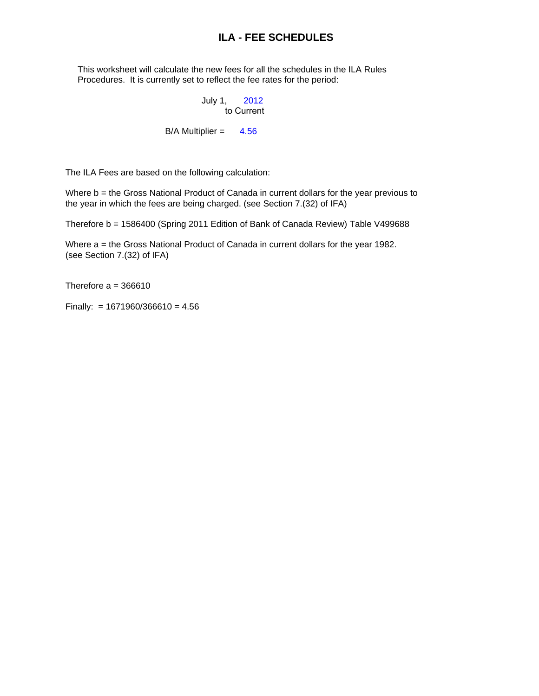## **ILA - FEE SCHEDULES**

 This worksheet will calculate the new fees for all the schedules in the ILA Rules Procedures. It is currently set to reflect the fee rates for the period:

#### July 1, 2012 to Current

#### $B/A$  Multiplier =  $4.56$

The ILA Fees are based on the following calculation:

Where b = the Gross National Product of Canada in current dollars for the year previous to the year in which the fees are being charged. (see Section 7.(32) of IFA)

Therefore b = 1586400 (Spring 2011 Edition of Bank of Canada Review) Table V499688

Where a = the Gross National Product of Canada in current dollars for the year 1982. (see Section 7.(32) of IFA)

Therefore  $a = 366610$ 

Finally: =  $1671960/366610 = 4.56$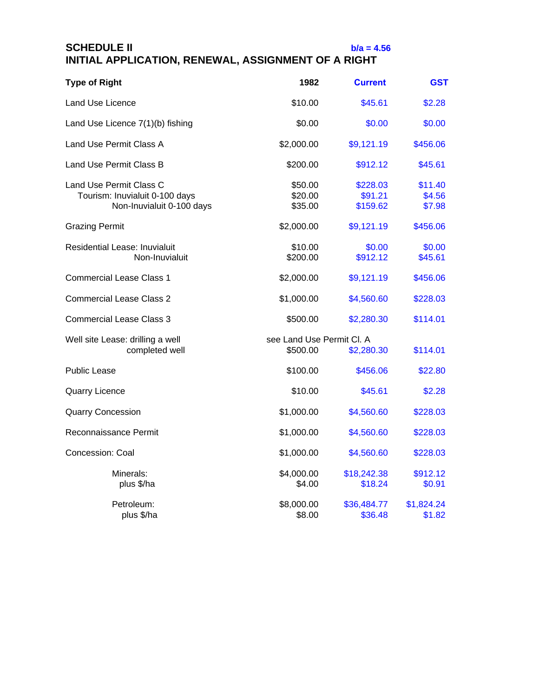## **SCHEDULE II b/a = 4.56 INITIAL APPLICATION, RENEWAL, ASSIGNMENT OF A RIGHT**

| <b>Type of Right</b>                                                                   | 1982                                  | <b>Current</b>                  | GST                         |
|----------------------------------------------------------------------------------------|---------------------------------------|---------------------------------|-----------------------------|
| Land Use Licence                                                                       | \$10.00                               | \$45.61                         | \$2.28                      |
| Land Use Licence 7(1)(b) fishing                                                       | \$0.00                                | \$0.00                          | \$0.00                      |
| Land Use Permit Class A                                                                | \$2,000.00                            | \$9,121.19                      | \$456.06                    |
| Land Use Permit Class B                                                                | \$200.00                              | \$912.12                        | \$45.61                     |
| Land Use Permit Class C<br>Tourism: Inuvialuit 0-100 days<br>Non-Inuvialuit 0-100 days | \$50.00<br>\$20.00<br>\$35.00         | \$228.03<br>\$91.21<br>\$159.62 | \$11.40<br>\$4.56<br>\$7.98 |
| <b>Grazing Permit</b>                                                                  | \$2,000.00                            | \$9,121.19                      | \$456.06                    |
| Residential Lease: Inuvialuit<br>Non-Inuvialuit                                        | \$10.00<br>\$200.00                   | \$0.00<br>\$912.12              | \$0.00<br>\$45.61           |
| <b>Commercial Lease Class 1</b>                                                        | \$2,000.00                            | \$9,121.19                      | \$456.06                    |
| <b>Commercial Lease Class 2</b>                                                        | \$1,000.00                            | \$4,560.60                      | \$228.03                    |
| <b>Commercial Lease Class 3</b>                                                        | \$500.00                              | \$2,280.30                      | \$114.01                    |
| Well site Lease: drilling a well<br>completed well                                     | see Land Use Permit Cl. A<br>\$500.00 | \$2,280.30                      | \$114.01                    |
| Public Lease                                                                           | \$100.00                              | \$456.06                        | \$22.80                     |
| <b>Quarry Licence</b>                                                                  | \$10.00                               | \$45.61                         | \$2.28                      |
| <b>Quarry Concession</b>                                                               | \$1,000.00                            | \$4,560.60                      | \$228.03                    |
| Reconnaissance Permit                                                                  | \$1,000.00                            | \$4,560.60                      | \$228.03                    |
| Concession: Coal                                                                       | \$1,000.00                            | \$4,560.60                      | \$228.03                    |
| Minerals:<br>plus \$/ha                                                                | \$4,000.00<br>\$4.00                  | \$18,242.38<br>\$18.24          | \$912.12<br>\$0.91          |
| Petroleum:<br>plus \$/ha                                                               | \$8,000.00<br>\$8.00                  | \$36,484.77<br>\$36.48          | \$1,824.24<br>\$1.82        |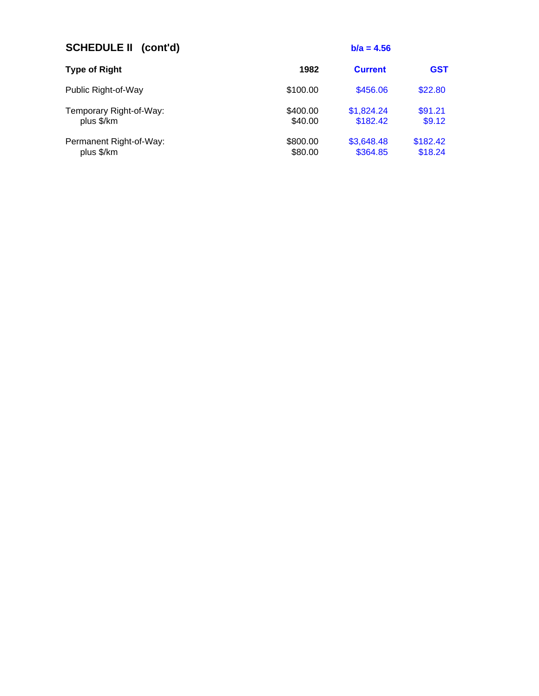| <b>SCHEDULE II (cont'd)</b>           |                     | $b/a = 4.56$           |                     |
|---------------------------------------|---------------------|------------------------|---------------------|
| <b>Type of Right</b>                  | 1982                | <b>Current</b>         | <b>GST</b>          |
| Public Right-of-Way                   | \$100.00            | \$456.06               | \$22.80             |
| Temporary Right-of-Way:<br>plus \$/km | \$400.00<br>\$40.00 | \$1,824.24<br>\$182.42 | \$91.21<br>\$9.12   |
| Permanent Right-of-Way:<br>plus \$/km | \$800.00<br>\$80.00 | \$3,648.48<br>\$364.85 | \$182.42<br>\$18.24 |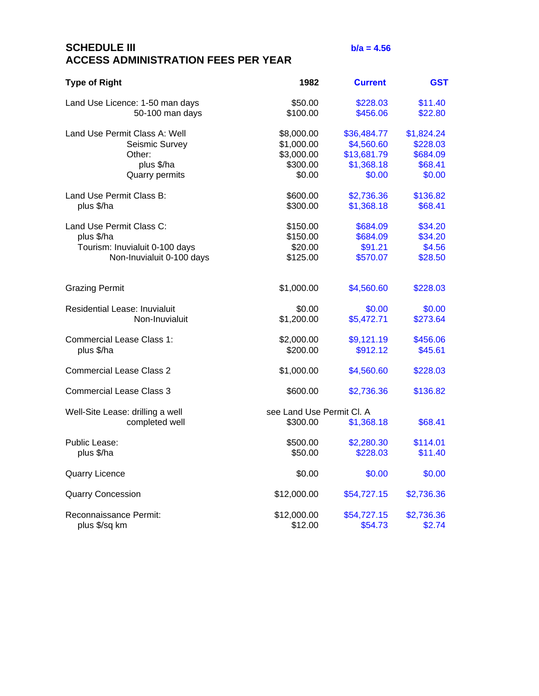# **SCHEDULE III b/a = 4.56 ACCESS ADMINISTRATION FEES PER YEAR**

| <b>Type of Right</b>                               | 1982                                  | <b>Current</b> | <b>GST</b> |
|----------------------------------------------------|---------------------------------------|----------------|------------|
| Land Use Licence: 1-50 man days                    | \$50.00                               | \$228.03       | \$11.40    |
| 50-100 man days                                    | \$100.00                              | \$456.06       | \$22.80    |
| Land Use Permit Class A: Well                      | \$8,000.00                            | \$36,484.77    | \$1,824.24 |
| Seismic Survey                                     | \$1,000.00                            | \$4,560.60     | \$228.03   |
| Other:                                             | \$3,000.00                            | \$13,681.79    | \$684.09   |
| plus \$/ha                                         | \$300.00                              | \$1,368.18     | \$68.41    |
| <b>Quarry permits</b>                              | \$0.00                                | \$0.00         | \$0.00     |
|                                                    |                                       |                |            |
| Land Use Permit Class B:                           | \$600.00                              | \$2,736.36     | \$136.82   |
| plus \$/ha                                         | \$300.00                              | \$1,368.18     | \$68.41    |
| Land Use Permit Class C:                           | \$150.00                              | \$684.09       | \$34.20    |
| plus \$/ha                                         | \$150.00                              | \$684.09       | \$34.20    |
| Tourism: Inuvialuit 0-100 days                     | \$20.00                               | \$91.21        | \$4.56     |
| Non-Inuvialuit 0-100 days                          | \$125.00                              | \$570.07       | \$28.50    |
| <b>Grazing Permit</b>                              | \$1,000.00                            | \$4,560.60     | \$228.03   |
| Residential Lease: Inuvialuit                      | \$0.00                                | \$0.00         | \$0.00     |
| Non-Inuvialuit                                     | \$1,200.00                            | \$5,472.71     | \$273.64   |
| <b>Commercial Lease Class 1:</b>                   | \$2,000.00                            | \$9,121.19     | \$456.06   |
| plus \$/ha                                         | \$200.00                              | \$912.12       | \$45.61    |
| <b>Commercial Lease Class 2</b>                    | \$1,000.00                            | \$4,560.60     | \$228.03   |
| <b>Commercial Lease Class 3</b>                    | \$600.00                              | \$2,736.36     | \$136.82   |
| Well-Site Lease: drilling a well<br>completed well | see Land Use Permit Cl. A<br>\$300.00 | \$1,368.18     | \$68.41    |
| Public Lease:                                      | \$500.00                              | \$2,280.30     | \$114.01   |
| plus \$/ha                                         | \$50.00                               | \$228.03       | \$11.40    |
| <b>Quarry Licence</b>                              | \$0.00                                | \$0.00         | \$0.00     |
| <b>Quarry Concession</b>                           | \$12,000.00                           | \$54,727.15    | \$2,736.36 |
| Reconnaissance Permit:                             | \$12,000.00                           | \$54,727.15    | \$2,736.36 |
| plus \$/sq km                                      | \$12.00                               | \$54.73        | \$2.74     |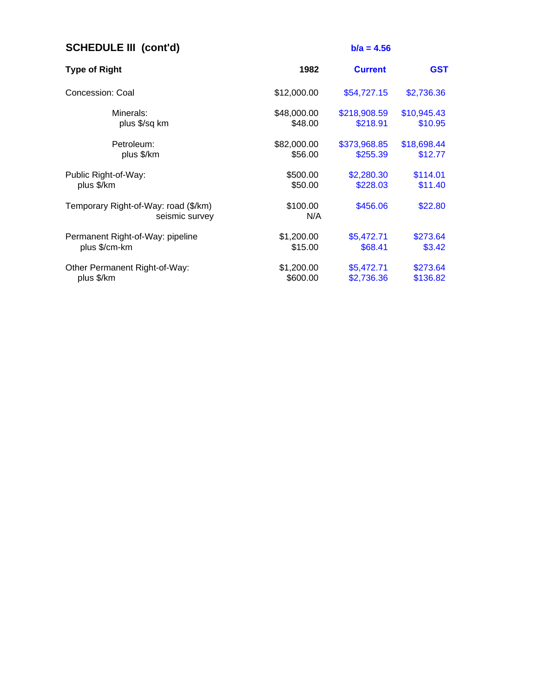| <b>SCHEDULE III (cont'd)</b>                           |                 | $b/a = 4.56$   |             |
|--------------------------------------------------------|-----------------|----------------|-------------|
| <b>Type of Right</b>                                   | 1982            | <b>Current</b> | <b>GST</b>  |
| Concession: Coal                                       | \$12,000.00     | \$54,727.15    | \$2,736.36  |
| Minerals:                                              | \$48,000.00     | \$218,908.59   | \$10,945.43 |
| plus \$/sq km                                          | \$48.00         | \$218.91       | \$10.95     |
| Petroleum:                                             | \$82,000.00     | \$373,968.85   | \$18,698.44 |
| plus \$/km                                             | \$56.00         | \$255.39       | \$12.77     |
| Public Right-of-Way:                                   | \$500.00        | \$2,280.30     | \$114.01    |
| plus \$/km                                             | \$50.00         | \$228.03       | \$11.40     |
| Temporary Right-of-Way: road (\$/km)<br>seismic survey | \$100.00<br>N/A | \$456.06       | \$22.80     |
| Permanent Right-of-Way: pipeline                       | \$1,200.00      | \$5,472.71     | \$273.64    |
| plus \$/cm-km                                          | \$15.00         | \$68.41        | \$3.42      |
| Other Permanent Right-of-Way:                          | \$1,200.00      | \$5,472.71     | \$273.64    |
| plus \$/km                                             | \$600.00        | \$2,736.36     | \$136.82    |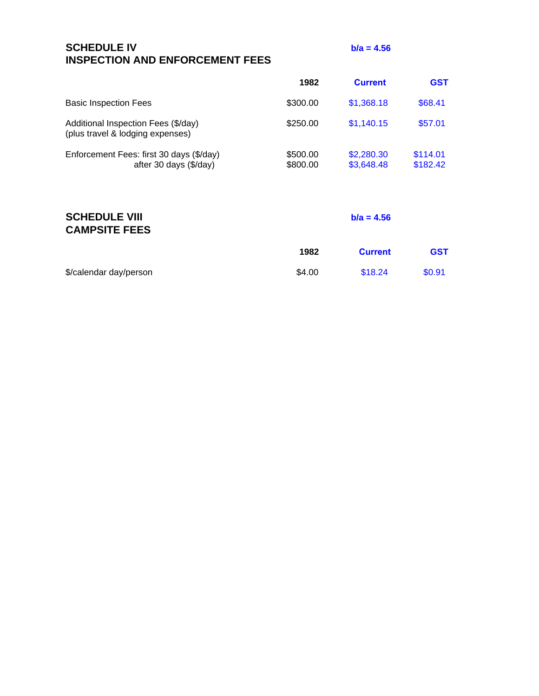| <b>SCHEDULE IV</b>                     |  |
|----------------------------------------|--|
| <b>INSPECTION AND ENFORCEMENT FEES</b> |  |

**b/a = 4.56** 

|                                                                         | 1982                 | <b>Current</b>           | <b>GST</b>           |
|-------------------------------------------------------------------------|----------------------|--------------------------|----------------------|
| <b>Basic Inspection Fees</b>                                            | \$300.00             | \$1,368.18               | \$68.41              |
| Additional Inspection Fees (\$/day)<br>(plus travel & lodging expenses) | \$250.00             | \$1,140.15               | \$57.01              |
| Enforcement Fees: first 30 days (\$/day)<br>after 30 days (\$/day)      | \$500.00<br>\$800.00 | \$2,280.30<br>\$3,648.48 | \$114.01<br>\$182.42 |

## **SCHEDULE VIII b/a = 4.56 CAMPSITE FEES**

|                        | 1982   | <b>Current</b> | <b>GST</b> |
|------------------------|--------|----------------|------------|
| \$/calendar day/person | \$4.00 | \$18.24        | \$0.91     |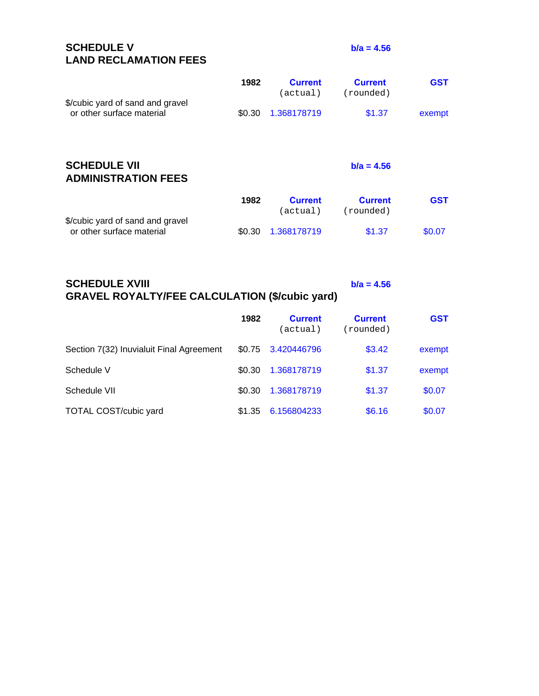**SCHEDULE V b/a = 4.56 LAND RECLAMATION FEES**

| \$/cubic yard of sand and gravel<br>or other surface material | 1982<br>\$0.30 | <b>Current</b><br>actual)<br>1.368178719 | <b>Current</b><br>(rounded)<br>\$1.37 | <b>GST</b><br>exempt |
|---------------------------------------------------------------|----------------|------------------------------------------|---------------------------------------|----------------------|
| <b>SCHEDULE VII</b><br><b>ADMINISTRATION FEES</b>             |                |                                          | $b/a = 4.56$                          |                      |
|                                                               | 1982           | <b>Current</b><br>actual)                | <b>Current</b><br>(rounded)           | <b>GST</b>           |
| \$/cubic yard of sand and gravel<br>or other surface material | \$0.30         | 1.368178719                              | \$1.37                                | \$0.07               |

# **SCHEDULE XVIII b/a = 4.56 GRAVEL ROYALTY/FEE CALCULATION (\$/cubic yard)**

|                                          | 1982   | <b>Current</b><br>(actual) | <b>Current</b><br>(rounded) | <b>GST</b> |
|------------------------------------------|--------|----------------------------|-----------------------------|------------|
| Section 7(32) Inuvialuit Final Agreement | \$0.75 | 3.420446796                | \$3.42                      | exempt     |
| Schedule V                               | \$0.30 | 1.368178719                | \$1.37                      | exempt     |
| Schedule VII                             | \$0.30 | 1.368178719                | \$1.37                      | \$0.07     |
| <b>TOTAL COST/cubic yard</b>             | \$1.35 | 6.156804233                | \$6.16                      | \$0.07     |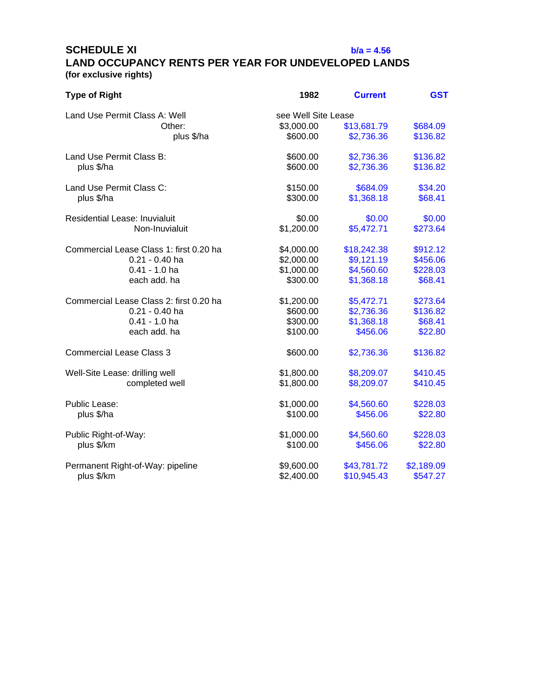**SCHEDULE XI b/a = 4.56** 

# **LAND OCCUPANCY RENTS PER YEAR FOR UNDEVELOPED LANDS (for exclusive rights)**

| <b>Type of Right</b>                    | 1982                | <b>Current</b> | <b>GST</b> |
|-----------------------------------------|---------------------|----------------|------------|
| Land Use Permit Class A: Well           | see Well Site Lease |                |            |
| Other:                                  | \$3,000.00          | \$13,681.79    | \$684.09   |
| plus \$/ha                              | \$600.00            | \$2,736.36     | \$136.82   |
| Land Use Permit Class B:                | \$600.00            | \$2,736.36     | \$136.82   |
| plus \$/ha                              | \$600.00            | \$2,736.36     | \$136.82   |
| Land Use Permit Class C:                | \$150.00            | \$684.09       | \$34.20    |
| plus \$/ha                              | \$300.00            | \$1,368.18     | \$68.41    |
| <b>Residential Lease: Inuvialuit</b>    | \$0.00              | \$0.00         | \$0.00     |
| Non-Inuvialuit                          | \$1,200.00          | \$5,472.71     | \$273.64   |
| Commercial Lease Class 1: first 0.20 ha | \$4,000.00          | \$18,242.38    | \$912.12   |
| $0.21 - 0.40$ ha                        | \$2,000.00          | \$9,121.19     | \$456.06   |
| $0.41 - 1.0$ ha                         | \$1,000.00          | \$4,560.60     | \$228.03   |
| each add. ha                            | \$300.00            | \$1,368.18     | \$68.41    |
| Commercial Lease Class 2: first 0.20 ha | \$1,200.00          | \$5,472.71     | \$273.64   |
| $0.21 - 0.40$ ha                        | \$600.00            | \$2,736.36     | \$136.82   |
| $0.41 - 1.0$ ha                         | \$300.00            | \$1,368.18     | \$68.41    |
| each add. ha                            | \$100.00            | \$456.06       | \$22.80    |
| <b>Commercial Lease Class 3</b>         | \$600.00            | \$2,736.36     | \$136.82   |
| Well-Site Lease: drilling well          | \$1,800.00          | \$8,209.07     | \$410.45   |
| completed well                          | \$1,800.00          | \$8,209.07     | \$410.45   |
| Public Lease:                           | \$1,000.00          | \$4,560.60     | \$228.03   |
| plus \$/ha                              | \$100.00            | \$456.06       | \$22.80    |
| Public Right-of-Way:                    | \$1,000.00          | \$4,560.60     | \$228.03   |
| plus \$/km                              | \$100.00            | \$456.06       | \$22.80    |
| Permanent Right-of-Way: pipeline        | \$9,600.00          | \$43,781.72    | \$2,189.09 |
| plus \$/km                              | \$2,400.00          | \$10,945.43    | \$547.27   |